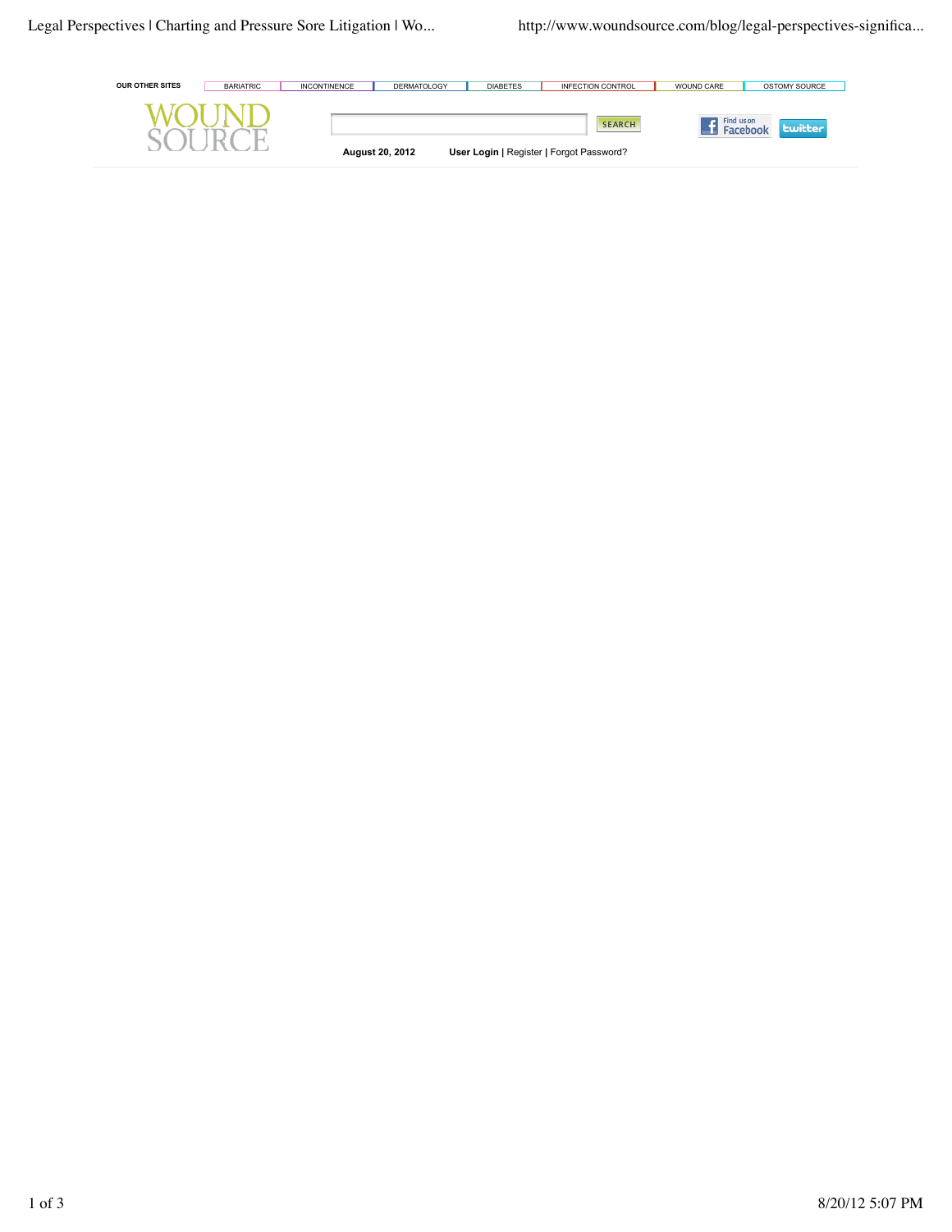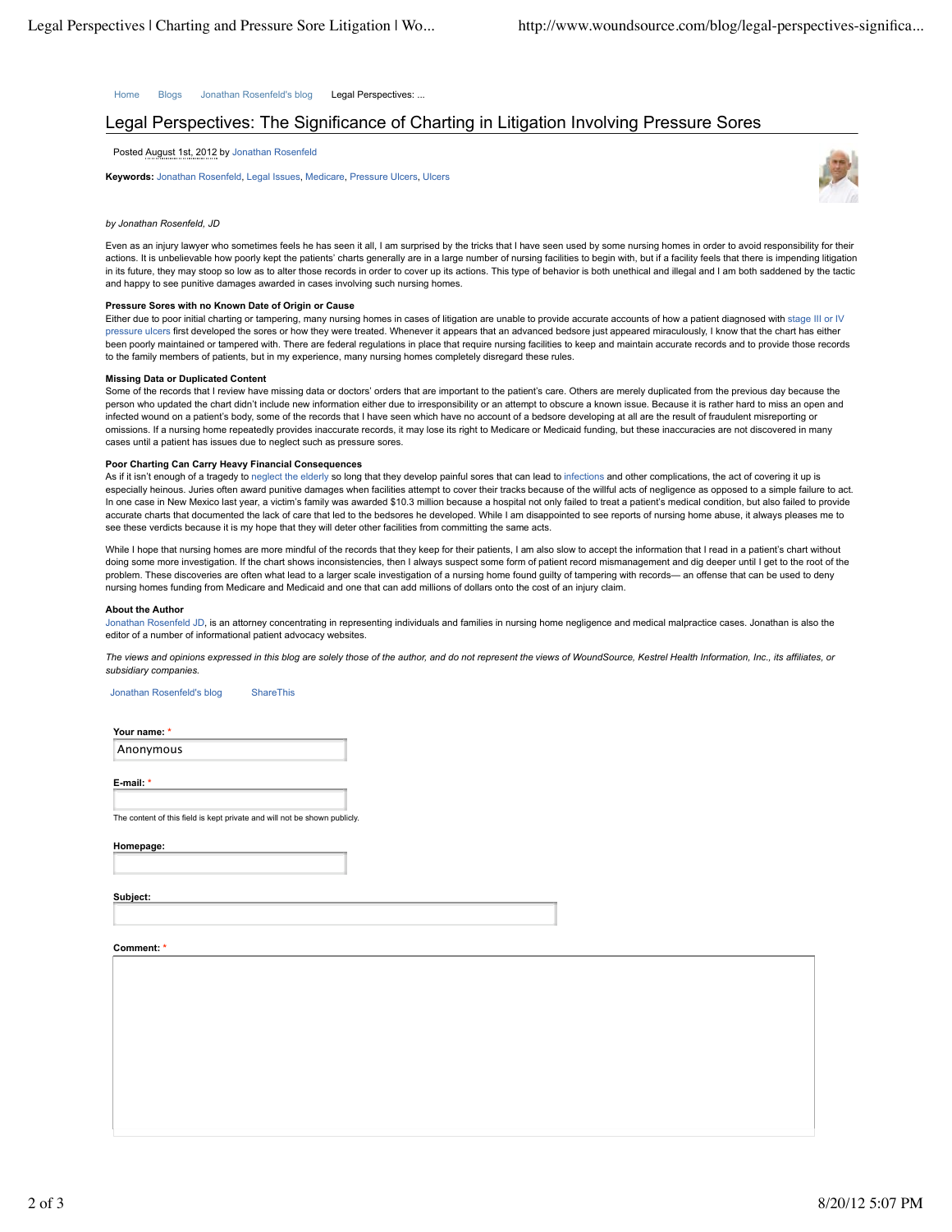Home Blogs Jonathan Rosenfeld's blog Legal Perspectives: ...

# Legal Perspectives: The Significance of Charting in Litigation Involving Pressure Sores

Posted August 1st, 2012 by Jonathan Rosenfeld

**Keywords:** Jonathan Rosenfeld, Legal Issues, Medicare, Pressure Ulcers, Ulcers



# *by Jonathan Rosenfeld, JD*

Even as an injury lawyer who sometimes feels he has seen it all, I am surprised by the tricks that I have seen used by some nursing homes in order to avoid responsibility for their actions. It is unbelievable how poorly kept the patients' charts generally are in a large number of nursing facilities to begin with, but if a facility feels that there is impending litigation in its future, they may stoop so low as to alter those records in order to cover up its actions. This type of behavior is both unethical and illegal and I am both saddened by the tactic and happy to see punitive damages awarded in cases involving such nursing homes.

## **Pressure Sores with no Known Date of Origin or Cause**

Either due to poor initial charting or tampering, many nursing homes in cases of litigation are unable to provide accurate accounts of how a patient diagnosed with stage III or IV pressure ulcers first developed the sores or how they were treated. Whenever it appears that an advanced bedsore just appeared miraculously, I know that the chart has either been poorly maintained or tampered with. There are federal regulations in place that require nursing facilities to keep and maintain accurate records and to provide those records to the family members of patients, but in my experience, many nursing homes completely disregard these rules.

#### **Missing Data or Duplicated Content**

Some of the records that I review have missing data or doctors' orders that are important to the patient's care. Others are merely duplicated from the previous day because the person who updated the chart didn't include new information either due to irresponsibility or an attempt to obscure a known issue. Because it is rather hard to miss an open and infected wound on a patient's body, some of the records that I have seen which have no account of a bedsore developing at all are the result of fraudulent misreporting or omissions. If a nursing home repeatedly provides inaccurate records, it may lose its right to Medicare or Medicaid funding, but these inaccuracies are not discovered in many cases until a patient has issues due to neglect such as pressure sores.

## **Poor Charting Can Carry Heavy Financial Consequences**

As if it isn't enough of a tragedy to neglect the elderly so long that they develop painful sores that can lead to infections and other complications, the act of covering it up is especially heinous. Juries often award punitive damages when facilities attempt to cover their tracks because of the willful acts of negligence as opposed to a simple failure to act. In one case in New Mexico last year, a victim's family was awarded \$10.3 million because a hospital not only failed to treat a patient's medical condition, but also failed to provide accurate charts that documented the lack of care that led to the bedsores he developed. While I am disappointed to see reports of nursing home abuse, it always pleases me to see these verdicts because it is my hope that they will deter other facilities from committing the same acts.

While I hope that nursing homes are more mindful of the records that they keep for their patients, I am also slow to accept the information that I read in a patient's chart without doing some more investigation. If the chart shows inconsistencies, then I always suspect some form of patient record mismanagement and dig deeper until I get to the root of the problem. These discoveries are often what lead to a larger scale investigation of a nursing home found guilty of tampering with records— an offense that can be used to deny nursing homes funding from Medicare and Medicaid and one that can add millions of dollars onto the cost of an injury claim.

#### **About the Author**

Jonathan Rosenfeld JD, is an attorney concentrating in representing individuals and families in nursing home negligence and medical malpractice cases. Jonathan is also the editor of a number of informational patient advocacy websites.

*The views and opinions expressed in this blog are solely those of the author, and do not represent the views of WoundSource, Kestrel Health Information, Inc., its affiliates, or subsidiary companies.*

Jonathan Rosenfeld's blog ShareThis

**Your name: \*** Anonymous

**E-mail: \***

The content of this field is kept private and will not be shown publicly.

**Homepage:**

**Subject:**

## **Comment: \***